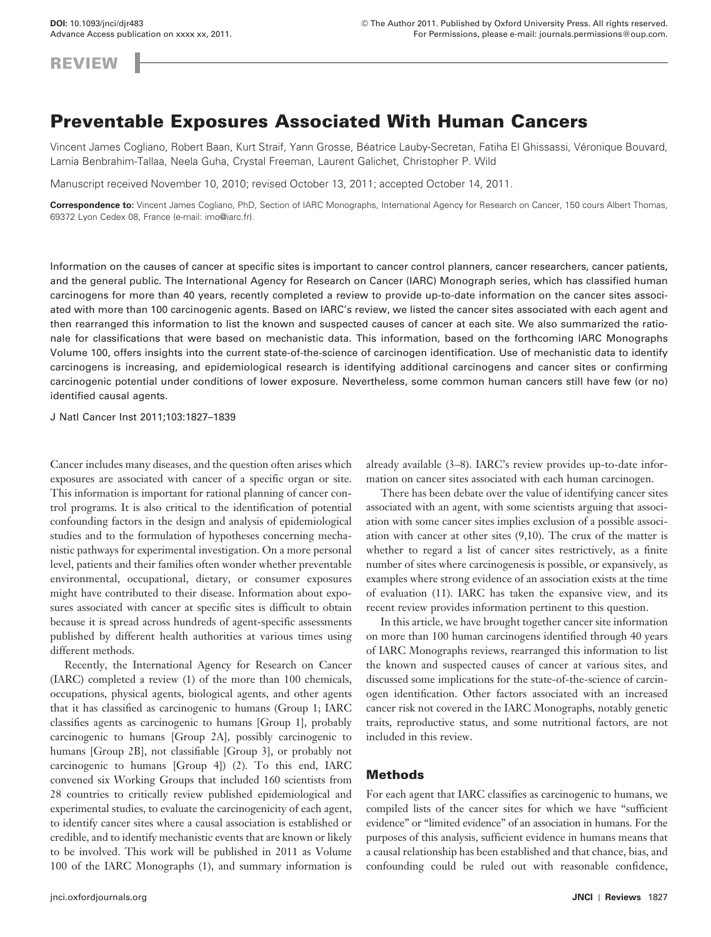**REVIEW** 

# **Preventable Exposures Associated With Human Cancers**

Vincent James Cogliano, Robert Baan, Kurt Straif, Yann Grosse, Béatrice Lauby-Secretan, Fatiha El Ghissassi, Véronique Bouvard, Lamia Benbrahim-Tallaa, Neela Guha, Crystal Freeman, Laurent Galichet, Christopher P. Wild

Manuscript received November 10, 2010; revised October 13, 2011; accepted October 14, 2011.

**Correspondence to:** Vincent James Cogliano, PhD, Section of IARC Monographs, International Agency for Research on Cancer, 150 cours Albert Thomas, 69372 Lyon Cedex 08, France (e-mail: imo@iarc.fr).

Information on the causes of cancer at specific sites is important to cancer control planners, cancer researchers, cancer patients, and the general public. The International Agency for Research on Cancer (IARC) Monograph series, which has classified human carcinogens for more than 40 years, recently completed a review to provide up-to-date information on the cancer sites associated with more than 100 carcinogenic agents. Based on IARC's review, we listed the cancer sites associated with each agent and then rearranged this information to list the known and suspected causes of cancer at each site. We also summarized the rationale for classifications that were based on mechanistic data. This information, based on the forthcoming IARC Monographs Volume 100, offers insights into the current state-of-the-science of carcinogen identification. Use of mechanistic data to identify carcinogens is increasing, and epidemiological research is identifying additional carcinogens and cancer sites or confirming carcinogenic potential under conditions of lower exposure. Nevertheless, some common human cancers still have few (or no) identified causal agents.

J Natl Cancer Inst 2011;103: 1827 – 1839

Cancer includes many diseases, and the question often arises which exposures are associated with cancer of a specific organ or site. This information is important for rational planning of cancer control programs. It is also critical to the identification of potential confounding factors in the design and analysis of epidemiological studies and to the formulation of hypotheses concerning mechanistic pathways for experimental investigation. On a more personal level, patients and their families often wonder whether preventable environmental, occupational, dietary, or consumer exposures might have contributed to their disease. Information about exposures associated with cancer at specific sites is difficult to obtain because it is spread across hundreds of agent-specific assessments published by different health authorities at various times using different methods.

Recently, the International Agency for Research on Cancer  $(IARC)$  completed a review  $(1)$  of the more than 100 chemicals, occupations, physical agents, biological agents, and other agents that it has classified as carcinogenic to humans (Group 1; IARC classifies agents as carcinogenic to humans [Group 1], probably carcinogenic to humans [Group 2A], possibly carcinogenic to humans [Group 2B], not classifiable [Group 3], or probably not carcinogenic to humans  $[Group 4]$ ) (2). To this end, IARC convened six Working Groups that included 160 scientists from 28 countries to critically review published epidemiological and experimental studies, to evaluate the carcinogenicity of each agent, to identify cancer sites where a causal association is established or credible, and to identify mechanistic events that are known or likely to be involved. This work will be published in 2011 as Volume 100 of the IARC Monographs (1), and summary information is

already available  $(3-8)$ . IARC's review provides up-to-date information on cancer sites associated with each human carcinogen.

There has been debate over the value of identifying cancer sites associated with an agent, with some scientists arguing that association with some cancer sites implies exclusion of a possible association with cancer at other sites  $(9,10)$ . The crux of the matter is whether to regard a list of cancer sites restrictively, as a finite number of sites where carcinogenesis is possible, or expansively, as examples where strong evidence of an association exists at the time of evaluation (11). IARC has taken the expansive view, and its recent review provides information pertinent to this question.

In this article, we have brought together cancer site information on more than 100 human carcinogens identified through 40 years of IARC Monographs reviews, rearranged this information to list the known and suspected causes of cancer at various sites, and discussed some implications for the state-of-the-science of carcinogen identification. Other factors associated with an increased cancer risk not covered in the IARC Monographs, notably genetic traits, reproductive status, and some nutritional factors, are not included in this review.

# **Methods**

For each agent that IARC classifies as carcinogenic to humans, we compiled lists of the cancer sites for which we have "sufficient evidence" or "limited evidence" of an association in humans. For the purposes of this analysis, sufficient evidence in humans means that a causal relationship has been established and that chance, bias, and confounding could be ruled out with reasonable confidence,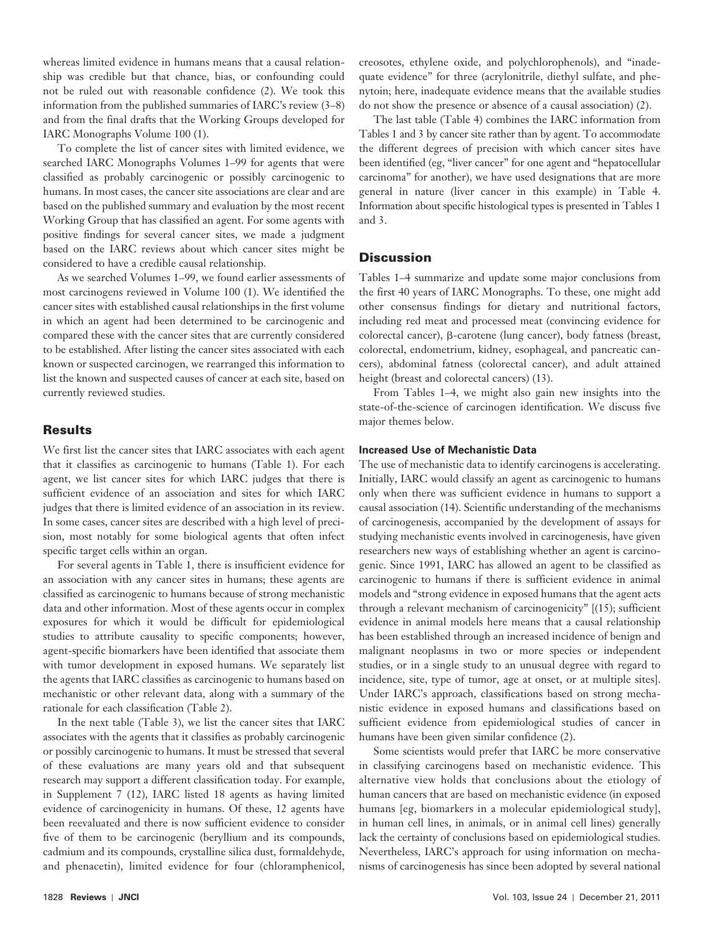whereas limited evidence in humans means that a causal relationship was credible but that chance, bias, or confounding could not be ruled out with reasonable confidence (2). We took this information from the published summaries of IARC's review  $(3-8)$ and from the final drafts that the Working Groups developed for IARC Monographs Volume 100 (1).

To complete the list of cancer sites with limited evidence, we searched IARC Monographs Volumes 1-99 for agents that were classified as probably carcinogenic or possibly carcinogenic to humans. In most cases, the cancer site associations are clear and are based on the published summary and evaluation by the most recent Working Group that has classified an agent. For some agents with positive findings for several cancer sites, we made a judgment based on the IARC reviews about which cancer sites might be considered to have a credible causal relationship.

As we searched Volumes 1–99, we found earlier assessments of most carcinogens reviewed in Volume 100 (1). We identified the cancer sites with established causal relationships in the first volume in which an agent had been determined to be carcinogenic and compared these with the cancer sites that are currently considered to be established. After listing the cancer sites associated with each known or suspected carcinogen, we rearranged this information to list the known and suspected causes of cancer at each site, based on currently reviewed studies.

# **Results**

We first list the cancer sites that IARC associates with each agent that it classifies as carcinogenic to humans (Table 1). For each agent, we list cancer sites for which IARC judges that there is sufficient evidence of an association and sites for which IARC judges that there is limited evidence of an association in its review. In some cases, cancer sites are described with a high level of precision, most notably for some biological agents that often infect specific target cells within an organ.

For several agents in Table 1, there is insufficient evidence for an association with any cancer sites in humans; these agents are classified as carcinogenic to humans because of strong mechanistic data and other information. Most of these agents occur in complex exposures for which it would be difficult for epidemiological studies to attribute causality to specific components; however, agent-specific biomarkers have been identified that associate them with tumor development in exposed humans. We separately list the agents that IARC classifies as carcinogenic to humans based on mechanistic or other relevant data, along with a summary of the rationale for each classification (Table 2).

In the next table (Table 3), we list the cancer sites that IARC associates with the agents that it classifies as probably carcinogenic or possibly carcinogenic to humans. It must be stressed that several of these evaluations are many years old and that subsequent research may support a different classification today. For example, in Supplement 7 (12), IARC listed 18 agents as having limited evidence of carcinogenicity in humans. Of these, 12 agents have been reevaluated and there is now sufficient evidence to consider five of them to be carcinogenic (beryllium and its compounds, cadmium and its compounds, crystalline silica dust, formaldehyde, and phenacetin), limited evidence for four (chloramphenicol,

creosotes, ethylene oxide, and polychlorophenols), and "inadequate evidence" for three (acrylonitrile, diethyl sulfate, and phenytoin; here, inadequate evidence means that the available studies do not show the presence or absence of a causal association) (2).

The last table (Table 4) combines the IARC information from Tables 1and 3by cancer site rather than by agent. To accommodate the different degrees of precision with which cancer sites have been identified (eg, "liver cancer" for one agent and "hepatocellular carcinoma" for another), we have used designations that are more general in nature (liver cancer in this example) in Table 4 . Information about specific histological types is presented in Tables 1 and 3 .

# **Discussion**

Tables 1–4 summarize and update some major conclusions from the first 40 years of IARC Monographs. To these, one might add other consensus findings for dietary and nutritional factors, including red meat and processed meat (convincing evidence for colorectal cancer),  $\beta$ -carotene (lung cancer), body fatness (breast, colorectal, endometrium, kidney, esophageal, and pancreatic cancers), abdominal fatness (colorectal cancer), and adult attained height (breast and colorectal cancers) (13).

From Tables 1-4, we might also gain new insights into the state-of-the-science of carcinogen identification. We discuss five major themes below.

### **Increased Use of Mechanistic Data**

The use of mechanistic data to identify carcinogens is accelerating. Initially, IARC would classify an agent as carcinogenic to humans only when there was sufficient evidence in humans to support a causal association (14). Scientific understanding of the mechanisms of carcinogenesis, accompanied by the development of assays for studying mechanistic events involved in carcinogenesis, have given researchers new ways of establishing whether an agent is carcinogenic. Since 1991, IARC has allowed an agent to be classified as carcinogenic to humans if there is sufficient evidence in animal models and "strong evidence in exposed humans that the agent acts through a relevant mechanism of carcinogenicity"  $[(15)$ ; sufficient evidence in animal models here means that a causal relationship has been established through an increased incidence of benign and malignant neoplasms in two or more species or independent studies, or in a single study to an unusual degree with regard to incidence, site, type of tumor, age at onset, or at multiple sites]. Under IARC's approach, classifications based on strong mechanistic evidence in exposed humans and classifications based on sufficient evidence from epidemiological studies of cancer in humans have been given similar confidence (2).

Some scientists would prefer that IARC be more conservative in classifying carcinogens based on mechanistic evidence. This alternative view holds that conclusions about the etiology of human cancers that are based on mechanistic evidence (in exposed humans [eg, biomarkers in a molecular epidemiological study], in human cell lines, in animals, or in animal cell lines) generally lack the certainty of conclusions based on epidemiological studies. Nevertheless, IARC's approach for using information on mechanisms of carcinogenesis has since been adopted by several national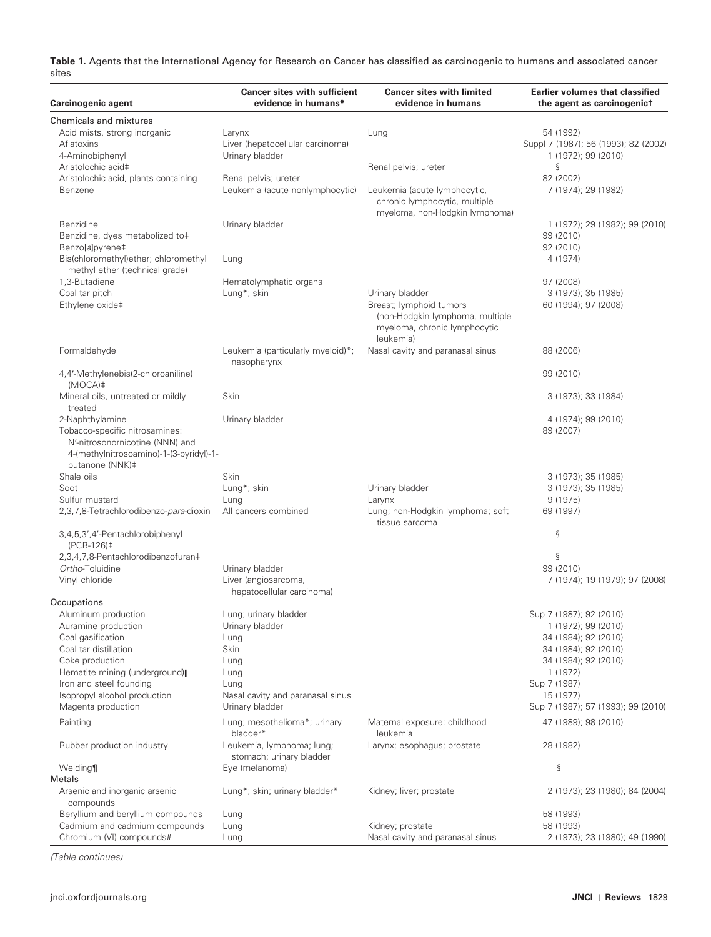**Table 1.** Agents that the International Agency for Research on Cancer has classified as carcinogenic to humans and associated cancer sites

| Carcinogenic agent                                                                                                              | <b>Cancer sites with sufficient</b><br>evidence in humans* | <b>Cancer sites with limited</b><br>evidence in humans                                                  | <b>Earlier volumes that classified</b><br>the agent as carcinogenict |
|---------------------------------------------------------------------------------------------------------------------------------|------------------------------------------------------------|---------------------------------------------------------------------------------------------------------|----------------------------------------------------------------------|
| Chemicals and mixtures                                                                                                          |                                                            |                                                                                                         |                                                                      |
| Acid mists, strong inorganic                                                                                                    | Larynx                                                     | Lung                                                                                                    | 54 (1992)                                                            |
| Aflatoxins                                                                                                                      | Liver (hepatocellular carcinoma)                           |                                                                                                         | Suppl 7 (1987); 56 (1993); 82 (2002)                                 |
| 4-Aminobiphenyl                                                                                                                 | Urinary bladder                                            |                                                                                                         | 1 (1972); 99 (2010)                                                  |
| Aristolochic acid‡                                                                                                              |                                                            | Renal pelvis; ureter                                                                                    | ş                                                                    |
| Aristolochic acid, plants containing                                                                                            | Renal pelvis; ureter                                       |                                                                                                         | 82 (2002)                                                            |
| Benzene                                                                                                                         | Leukemia (acute nonlymphocytic)                            | Leukemia (acute lymphocytic,<br>chronic lymphocytic, multiple<br>myeloma, non-Hodgkin lymphoma)         | 7 (1974); 29 (1982)                                                  |
| <b>Benzidine</b>                                                                                                                | Urinary bladder                                            |                                                                                                         | 1 (1972); 29 (1982); 99 (2010)                                       |
| Benzidine, dyes metabolized to‡                                                                                                 |                                                            |                                                                                                         | 99 (2010)                                                            |
| Benzo[a]pyrene‡                                                                                                                 |                                                            |                                                                                                         | 92 (2010)                                                            |
| Bis(chloromethyl)ether; chloromethyl<br>methyl ether (technical grade)                                                          | Lung                                                       |                                                                                                         | 4 (1974)                                                             |
| 1,3-Butadiene                                                                                                                   | Hematolymphatic organs                                     |                                                                                                         | 97 (2008)                                                            |
| Coal tar pitch                                                                                                                  | Lung*; skin                                                | Urinary bladder                                                                                         | 3 (1973); 35 (1985)                                                  |
| Ethylene oxide‡                                                                                                                 |                                                            | Breast; lymphoid tumors<br>(non-Hodgkin lymphoma, multiple<br>myeloma, chronic lymphocytic<br>leukemia) | 60 (1994); 97 (2008)                                                 |
| Formaldehyde                                                                                                                    | Leukemia (particularly myeloid)*;<br>nasopharynx           | Nasal cavity and paranasal sinus                                                                        | 88 (2006)                                                            |
| 4,4'-Methylenebis(2-chloroaniline)<br>$(MOCA)$ ‡                                                                                |                                                            |                                                                                                         | 99 (2010)                                                            |
| Mineral oils, untreated or mildly<br>treated                                                                                    | Skin                                                       |                                                                                                         | 3 (1973); 33 (1984)                                                  |
| 2-Naphthylamine                                                                                                                 | Urinary bladder                                            |                                                                                                         | 4 (1974); 99 (2010)                                                  |
| Tobacco-specific nitrosamines:<br>N'-nitrosonornicotine (NNN) and<br>4-(methylnitrosoamino)-1-(3-pyridyl)-1-<br>butanone (NNK)‡ |                                                            |                                                                                                         | 89 (2007)                                                            |
| Shale oils                                                                                                                      | Skin                                                       |                                                                                                         | 3 (1973); 35 (1985)                                                  |
| Soot                                                                                                                            | Lung*; skin                                                | Urinary bladder                                                                                         | 3 (1973); 35 (1985)                                                  |
| Sulfur mustard                                                                                                                  | Lung                                                       | Larynx                                                                                                  | 9 (1975)                                                             |
| 2,3,7,8-Tetrachlorodibenzo-para-dioxin                                                                                          | All cancers combined                                       | Lung; non-Hodgkin lymphoma; soft<br>tissue sarcoma                                                      | 69 (1997)                                                            |
| 3,4,5,3',4'-Pentachlorobiphenyl<br>(PCB-126)‡                                                                                   |                                                            |                                                                                                         | ş                                                                    |
| 2,3,4,7,8-Pentachlorodibenzofuran‡                                                                                              |                                                            |                                                                                                         | ş                                                                    |
| Ortho-Toluidine                                                                                                                 | Urinary bladder                                            |                                                                                                         | 99 (2010)                                                            |
| Vinyl chloride                                                                                                                  | Liver (angiosarcoma,<br>hepatocellular carcinoma)          |                                                                                                         | 7 (1974); 19 (1979); 97 (2008)                                       |
| Occupations                                                                                                                     |                                                            |                                                                                                         |                                                                      |
| Aluminum production                                                                                                             | Lung; urinary bladder                                      |                                                                                                         | Sup 7 (1987); 92 (2010)                                              |
| Auramine production                                                                                                             | Urinary bladder                                            |                                                                                                         | 1 (1972); 99 (2010)                                                  |
| Coal gasification                                                                                                               | Lung                                                       |                                                                                                         | 34 (1984); 92 (2010)                                                 |
| Coal tar distillation                                                                                                           | Skin                                                       |                                                                                                         | 34 (1984); 92 (2010)                                                 |
| Coke production                                                                                                                 | Lung                                                       |                                                                                                         | 34 (1984); 92 (2010)                                                 |
| Hematite mining (underground)                                                                                                   | Lung                                                       |                                                                                                         | 1 (1972)                                                             |
| Iron and steel founding                                                                                                         | Lung                                                       |                                                                                                         | Sup 7 (1987)                                                         |
| Isopropyl alcohol production<br>Magenta production                                                                              | Nasal cavity and paranasal sinus<br>Urinary bladder        |                                                                                                         | 15 (1977)<br>Sup 7 (1987); 57 (1993); 99 (2010)                      |
| Painting                                                                                                                        | Lung; mesothelioma*; urinary<br>bladder*                   | Maternal exposure: childhood<br>leukemia                                                                | 47 (1989); 98 (2010)                                                 |
| Rubber production industry                                                                                                      | Leukemia, lymphoma; lung;<br>stomach; urinary bladder      | Larynx; esophagus; prostate                                                                             | 28 (1982)                                                            |
| Welding                                                                                                                         | Eye (melanoma)                                             |                                                                                                         | ş                                                                    |
| Metals                                                                                                                          |                                                            |                                                                                                         |                                                                      |
| Arsenic and inorganic arsenic<br>compounds                                                                                      | Lung*; skin; urinary bladder*                              | Kidney; liver; prostate                                                                                 | 2 (1973); 23 (1980); 84 (2004)                                       |
| Beryllium and beryllium compounds                                                                                               | Lung                                                       |                                                                                                         | 58 (1993)                                                            |
| Cadmium and cadmium compounds                                                                                                   | Lung                                                       | Kidney; prostate                                                                                        | 58 (1993)                                                            |
| Chromium (VI) compounds#                                                                                                        | Lung                                                       | Nasal cavity and paranasal sinus                                                                        | 2 (1973); 23 (1980); 49 (1990)                                       |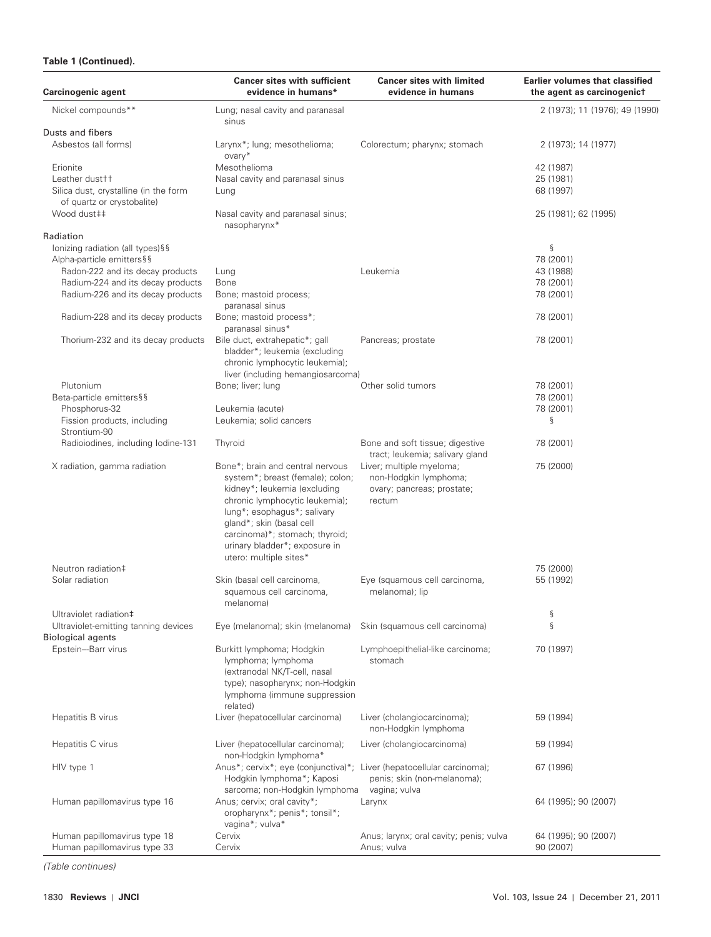# **Table 1 (Continued).**

| Carcinogenic agent                                               | <b>Cancer sites with sufficient</b><br>evidence in humans*                                                                                                                             | <b>Cancer sites with limited</b><br>evidence in humans                                                             | <b>Earlier volumes that classified</b><br>the agent as carcinogenict |
|------------------------------------------------------------------|----------------------------------------------------------------------------------------------------------------------------------------------------------------------------------------|--------------------------------------------------------------------------------------------------------------------|----------------------------------------------------------------------|
| Nickel compounds**                                               | Lung; nasal cavity and paranasal<br>sinus                                                                                                                                              |                                                                                                                    | 2 (1973); 11 (1976); 49 (1990)                                       |
| Dusts and fibers                                                 |                                                                                                                                                                                        |                                                                                                                    |                                                                      |
| Asbestos (all forms)                                             | Larynx*; lung; mesothelioma;<br>ovary*                                                                                                                                                 | Colorectum; pharynx; stomach                                                                                       | 2 (1973); 14 (1977)                                                  |
| Erionite                                                         | Mesothelioma                                                                                                                                                                           |                                                                                                                    | 42 (1987)                                                            |
| Leather dust <sup>++</sup>                                       | Nasal cavity and paranasal sinus                                                                                                                                                       |                                                                                                                    | 25 (1981)                                                            |
| Silica dust, crystalline (in the form                            | Lung                                                                                                                                                                                   |                                                                                                                    | 68 (1997)                                                            |
| of quartz or crystobalite)                                       |                                                                                                                                                                                        |                                                                                                                    |                                                                      |
| Wood dust##                                                      | Nasal cavity and paranasal sinus;<br>nasopharynx*                                                                                                                                      |                                                                                                                    | 25 (1981); 62 (1995)                                                 |
| Radiation                                                        |                                                                                                                                                                                        |                                                                                                                    |                                                                      |
| lonizing radiation (all types)§§                                 |                                                                                                                                                                                        |                                                                                                                    | ş                                                                    |
| Alpha-particle emitters§§                                        |                                                                                                                                                                                        |                                                                                                                    | 78 (2001)                                                            |
| Radon-222 and its decay products                                 | Lung                                                                                                                                                                                   | Leukemia                                                                                                           | 43 (1988)                                                            |
| Radium-224 and its decay products                                | <b>Bone</b>                                                                                                                                                                            |                                                                                                                    | 78 (2001)                                                            |
| Radium-226 and its decay products                                | Bone; mastoid process;                                                                                                                                                                 |                                                                                                                    | 78 (2001)                                                            |
|                                                                  | paranasal sinus                                                                                                                                                                        |                                                                                                                    |                                                                      |
| Radium-228 and its decay products                                | Bone; mastoid process*;<br>paranasal sinus*                                                                                                                                            |                                                                                                                    | 78 (2001)                                                            |
| Thorium-232 and its decay products                               | Bile duct, extrahepatic*; gall<br>bladder*; leukemia (excluding<br>chronic lymphocytic leukemia);<br>liver (including hemangiosarcoma)                                                 | Pancreas; prostate                                                                                                 | 78 (2001)                                                            |
| Plutonium                                                        | Bone; liver; lung                                                                                                                                                                      | Other solid tumors                                                                                                 | 78 (2001)                                                            |
| Beta-particle emitters§§                                         |                                                                                                                                                                                        |                                                                                                                    | 78 (2001)                                                            |
| Phosphorus-32                                                    |                                                                                                                                                                                        |                                                                                                                    |                                                                      |
|                                                                  | Leukemia (acute)                                                                                                                                                                       |                                                                                                                    | 78 (2001)                                                            |
| Fission products, including                                      | Leukemia; solid cancers                                                                                                                                                                |                                                                                                                    | ş                                                                    |
| Strontium-90<br>Radioiodines, including lodine-131               | Thyroid                                                                                                                                                                                | Bone and soft tissue; digestive                                                                                    | 78 (2001)                                                            |
| X radiation, gamma radiation                                     | Bone*; brain and central nervous<br>system*; breast (female); colon;<br>kidney*; leukemia (excluding                                                                                   | tract; leukemia; salivary gland<br>Liver; multiple myeloma;<br>non-Hodgkin lymphoma;<br>ovary; pancreas; prostate; | 75 (2000)                                                            |
|                                                                  | chronic lymphocytic leukemia);<br>lung*; esophagus*; salivary<br>gland*; skin (basal cell<br>carcinoma)*; stomach; thyroid;<br>urinary bladder*; exposure in<br>utero: multiple sites* | rectum                                                                                                             |                                                                      |
| Neutron radiation‡                                               |                                                                                                                                                                                        |                                                                                                                    | 75 (2000)                                                            |
| Solar radiation                                                  | Skin (basal cell carcinoma,<br>squamous cell carcinoma,<br>melanoma)                                                                                                                   | Eye (squamous cell carcinoma,<br>melanoma); lip                                                                    | 55 (1992)                                                            |
| Ultraviolet radiation‡                                           |                                                                                                                                                                                        |                                                                                                                    | ş                                                                    |
| Ultraviolet-emitting tanning devices<br><b>Biological agents</b> | Eye (melanoma); skin (melanoma)                                                                                                                                                        | Skin (squamous cell carcinoma)                                                                                     | $\S$                                                                 |
| Epstein-Barr virus                                               | Burkitt lymphoma; Hodgkin<br>lymphoma; lymphoma<br>(extranodal NK/T-cell, nasal<br>type); nasopharynx; non-Hodgkin<br>lymphoma (immune suppression<br>related)                         | Lymphoepithelial-like carcinoma;<br>stomach                                                                        | 70 (1997)                                                            |
| Hepatitis B virus                                                | Liver (hepatocellular carcinoma)                                                                                                                                                       | Liver (cholangiocarcinoma);<br>non-Hodgkin lymphoma                                                                | 59 (1994)                                                            |
| Hepatitis C virus                                                | Liver (hepatocellular carcinoma);<br>non-Hodgkin lymphoma*                                                                                                                             | Liver (cholangiocarcinoma)                                                                                         | 59 (1994)                                                            |
| HIV type 1                                                       | Anus*; cervix*; eye (conjunctiva)*; Liver (hepatocellular carcinoma);<br>Hodgkin lymphoma*; Kaposi<br>sarcoma; non-Hodgkin lymphoma                                                    | penis; skin (non-melanoma);<br>vagina; vulva                                                                       | 67 (1996)                                                            |
| Human papillomavirus type 16                                     | Anus; cervix; oral cavity*;<br>oropharynx*; penis*; tonsil*;<br>vagina*; vulva*                                                                                                        | Larynx                                                                                                             | 64 (1995); 90 (2007)                                                 |
| Human papillomavirus type 18<br>Human papillomavirus type 33     | Cervix<br>Cervix                                                                                                                                                                       | Anus; larynx; oral cavity; penis; vulva<br>Anus; vulva                                                             | 64 (1995); 90 (2007)<br>90 (2007)                                    |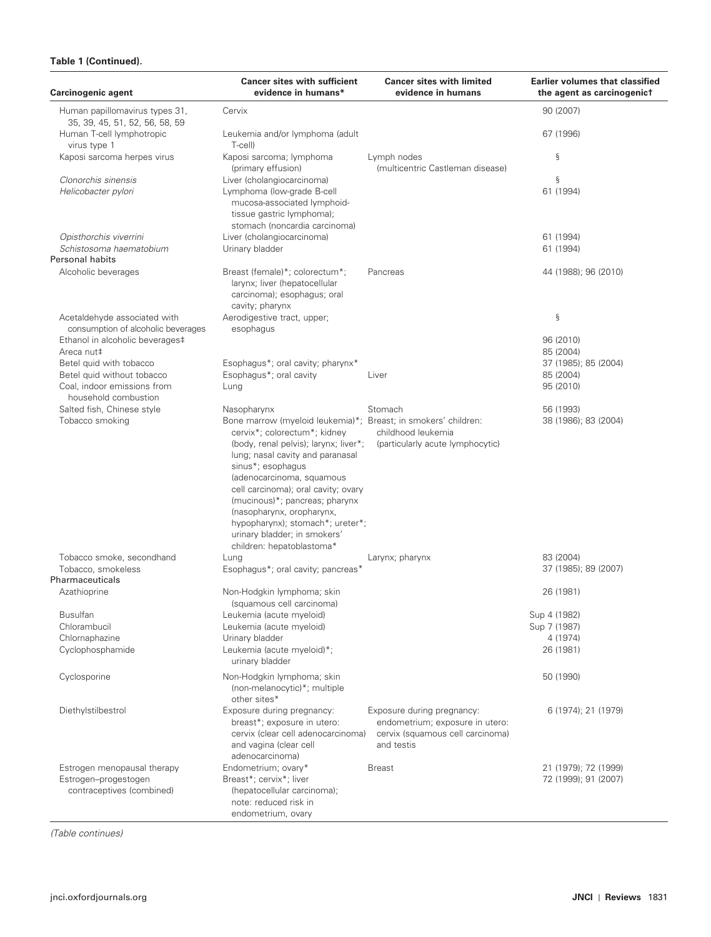# **Table 1 (Continued).**

| <b>Carcinogenic agent</b>                                                         | <b>Cancer sites with sufficient</b><br>evidence in humans*                                                                                                                                                                                                                                                                                                                                                                           | <b>Cancer sites with limited</b><br>evidence in humans                                                          | <b>Earlier volumes that classified</b><br>the agent as carcinogenict |
|-----------------------------------------------------------------------------------|--------------------------------------------------------------------------------------------------------------------------------------------------------------------------------------------------------------------------------------------------------------------------------------------------------------------------------------------------------------------------------------------------------------------------------------|-----------------------------------------------------------------------------------------------------------------|----------------------------------------------------------------------|
| Human papillomavirus types 31,<br>35, 39, 45, 51, 52, 56, 58, 59                  | Cervix                                                                                                                                                                                                                                                                                                                                                                                                                               |                                                                                                                 | 90 (2007)                                                            |
| Human T-cell lymphotropic<br>virus type 1                                         | Leukemia and/or lymphoma (adult<br>T-cell)                                                                                                                                                                                                                                                                                                                                                                                           |                                                                                                                 | 67 (1996)                                                            |
| Kaposi sarcoma herpes virus                                                       | Kaposi sarcoma; lymphoma<br>(primary effusion)                                                                                                                                                                                                                                                                                                                                                                                       | Lymph nodes<br>(multicentric Castleman disease)                                                                 | ş                                                                    |
| Clonorchis sinensis<br>Helicobacter pylori                                        | Liver (cholangiocarcinoma)<br>Lymphoma (low-grade B-cell<br>mucosa-associated lymphoid-<br>tissue gastric lymphoma);<br>stomach (noncardia carcinoma)                                                                                                                                                                                                                                                                                |                                                                                                                 | ş<br>61 (1994)                                                       |
| Opisthorchis viverrini                                                            | Liver (cholangiocarcinoma)                                                                                                                                                                                                                                                                                                                                                                                                           |                                                                                                                 | 61 (1994)                                                            |
| Schistosoma haematobium                                                           | Urinary bladder                                                                                                                                                                                                                                                                                                                                                                                                                      |                                                                                                                 | 61 (1994)                                                            |
| <b>Personal habits</b>                                                            |                                                                                                                                                                                                                                                                                                                                                                                                                                      |                                                                                                                 |                                                                      |
| Alcoholic beverages                                                               | Breast (female)*; colorectum*;<br>larynx; liver (hepatocellular<br>carcinoma); esophagus; oral<br>cavity; pharynx                                                                                                                                                                                                                                                                                                                    | Pancreas                                                                                                        | 44 (1988); 96 (2010)                                                 |
| Acetaldehyde associated with<br>consumption of alcoholic beverages                | Aerodigestive tract, upper;<br>esophagus                                                                                                                                                                                                                                                                                                                                                                                             |                                                                                                                 | ş                                                                    |
| Ethanol in alcoholic beverages‡                                                   |                                                                                                                                                                                                                                                                                                                                                                                                                                      |                                                                                                                 | 96 (2010)                                                            |
| Areca nut‡                                                                        |                                                                                                                                                                                                                                                                                                                                                                                                                                      |                                                                                                                 | 85 (2004)                                                            |
| Betel quid with tobacco                                                           | Esophagus*; oral cavity; pharynx*                                                                                                                                                                                                                                                                                                                                                                                                    |                                                                                                                 | 37 (1985); 85 (2004)                                                 |
| Betel quid without tobacco<br>Coal, indoor emissions from<br>household combustion | Esophagus*; oral cavity<br>Lung                                                                                                                                                                                                                                                                                                                                                                                                      | Liver                                                                                                           | 85 (2004)<br>95 (2010)                                               |
| Salted fish, Chinese style                                                        | Nasopharynx                                                                                                                                                                                                                                                                                                                                                                                                                          | Stomach                                                                                                         | 56 (1993)                                                            |
| Tobacco smoking                                                                   | Bone marrow (myeloid leukemia)*; Breast; in smokers' children:<br>cervix*; colorectum*; kidney<br>(body, renal pelvis); larynx; liver*;<br>lung; nasal cavity and paranasal<br>sinus*; esophagus<br>(adenocarcinoma, squamous<br>cell carcinoma); oral cavity; ovary<br>(mucinous)*; pancreas; pharynx<br>(nasopharynx, oropharynx,<br>hypopharynx); stomach*; ureter*;<br>urinary bladder; in smokers'<br>children: hepatoblastoma* | childhood leukemia<br>(particularly acute lymphocytic)                                                          | 38 (1986); 83 (2004)                                                 |
| Tobacco smoke, secondhand<br>Tobacco, smokeless                                   | Lung<br>Esophagus*; oral cavity; pancreas*                                                                                                                                                                                                                                                                                                                                                                                           | Larynx; pharynx                                                                                                 | 83 (2004)<br>37 (1985); 89 (2007)                                    |
| Pharmaceuticals                                                                   |                                                                                                                                                                                                                                                                                                                                                                                                                                      |                                                                                                                 |                                                                      |
| Azathioprine                                                                      | Non-Hodgkin lymphoma; skin<br>(squamous cell carcinoma)                                                                                                                                                                                                                                                                                                                                                                              |                                                                                                                 | 26 (1981)                                                            |
| <b>Busulfan</b>                                                                   | Leukemia (acute myeloid)                                                                                                                                                                                                                                                                                                                                                                                                             |                                                                                                                 | Sup 4 (1982)                                                         |
| Chlorambucil                                                                      | Leukemia (acute myeloid)                                                                                                                                                                                                                                                                                                                                                                                                             |                                                                                                                 | Sup 7 (1987)                                                         |
| Chlornaphazine                                                                    | Urinary bladder                                                                                                                                                                                                                                                                                                                                                                                                                      |                                                                                                                 | 4 (1974)                                                             |
| Cyclophosphamide                                                                  | Leukemia (acute myeloid)*;<br>urinary bladder                                                                                                                                                                                                                                                                                                                                                                                        |                                                                                                                 | 26 (1981)                                                            |
| Cyclosporine                                                                      | Non-Hodgkin lymphoma; skin<br>(non-melanocytic)*; multiple<br>other sites*                                                                                                                                                                                                                                                                                                                                                           |                                                                                                                 | 50 (1990)                                                            |
| Diethylstilbestrol                                                                | Exposure during pregnancy:<br>breast*; exposure in utero:<br>cervix (clear cell adenocarcinoma)<br>and vagina (clear cell<br>adenocarcinoma)                                                                                                                                                                                                                                                                                         | Exposure during pregnancy:<br>endometrium; exposure in utero:<br>cervix (squamous cell carcinoma)<br>and testis | 6 (1974); 21 (1979)                                                  |
| Estrogen menopausal therapy<br>Estrogen-progestogen<br>contraceptives (combined)  | Endometrium; ovary*<br>Breast*; cervix*; liver<br>(hepatocellular carcinoma);<br>note: reduced risk in<br>endometrium, ovary                                                                                                                                                                                                                                                                                                         | <b>Breast</b>                                                                                                   | 21 (1979); 72 (1999)<br>72 (1999); 91 (2007)                         |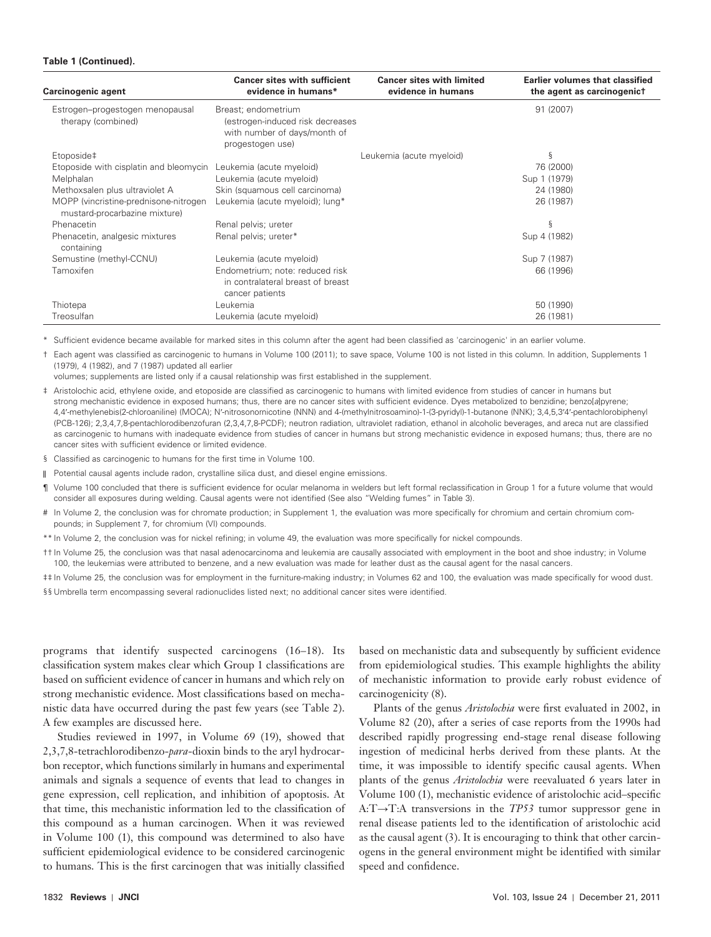#### **Table 1 (Continued).**

| Carcinogenic agent                                                     | <b>Cancer sites with sufficient</b><br>evidence in humans*                                                  | <b>Cancer sites with limited</b><br>evidence in humans | <b>Earlier volumes that classified</b><br>the agent as carcinogenict |
|------------------------------------------------------------------------|-------------------------------------------------------------------------------------------------------------|--------------------------------------------------------|----------------------------------------------------------------------|
| Estrogen-progestogen menopausal<br>therapy (combined)                  | Breast; endometrium<br>(estrogen-induced risk decreases<br>with number of days/month of<br>progestogen use) |                                                        | 91 (2007)                                                            |
| Etoposide‡                                                             |                                                                                                             | Leukemia (acute myeloid)                               | ξ                                                                    |
| Etoposide with cisplatin and bleomycin                                 | Leukemia (acute myeloid)                                                                                    |                                                        | 76 (2000)                                                            |
| Melphalan                                                              | Leukemia (acute myeloid)                                                                                    |                                                        | Sup 1 (1979)                                                         |
| Methoxsalen plus ultraviolet A                                         | Skin (squamous cell carcinoma)                                                                              |                                                        | 24 (1980)                                                            |
| MOPP (vincristine-prednisone-nitrogen<br>mustard-procarbazine mixture) | Leukemia (acute myeloid); lung*                                                                             |                                                        | 26 (1987)                                                            |
| Phenacetin                                                             | Renal pelvis; ureter                                                                                        |                                                        | ξ                                                                    |
| Phenacetin, analgesic mixtures<br>containing                           | Renal pelvis; ureter*                                                                                       |                                                        | Sup 4 (1982)                                                         |
| Semustine (methyl-CCNU)                                                | Leukemia (acute myeloid)                                                                                    |                                                        | Sup 7 (1987)                                                         |
| Tamoxifen                                                              | Endometrium; note: reduced risk<br>in contralateral breast of breast<br>cancer patients                     |                                                        | 66 (1996)                                                            |
| Thiotepa                                                               | Leukemia                                                                                                    |                                                        | 50 (1990)                                                            |
| Treosulfan                                                             | Leukemia (acute myeloid)                                                                                    |                                                        | 26 (1981)                                                            |

\* Sufficient evidence became available for marked sites in this column after the agent had been classified as 'carcinogenic' in an earlier volume.

† Each agent was classified as carcinogenic to humans in Volume 100 (2011); to save space, Volume 100 is not listed in this column. In addition, Supplements 1 (1979), 4 (1982), and 7 (1987) updated all earlier

volumes; supplements are listed only if a causal relationship was first established in the supplement.

‡ Aristolochic acid, ethylene oxide, and etoposide are classified as carcinogenic to humans with limited evidence from studies of cancer in humans but strong mechanistic evidence in exposed humans; thus, there are no cancer sites with sufficient evidence. Dyes metabolized to benzidine; benzo[a]pyrene; 4, 4 ′-methylenebis(2-chloroaniline) (MOCA); N ′-nitrosonornicotine (NNN) and 4-(methylnitrosoamino)-1-(3-pyridyl)-1-butanone (NNK); 3,4,5, 3 ′4 ′-pentachlorobiphenyl (PCB-126); 2,3,4,7,8-pentachlorodibenzofuran (2,3,4,7,8-PCDF); neutron radiation, ultraviolet radiation, ethanol in alcoholic beverages, and areca nut are classified as carcinogenic to humans with inadequate evidence from studies of cancer in humans but strong mechanistic evidence in exposed humans; thus, there are no cancer sites with sufficient evidence or limited evidence.

§ Classified as carcinogenic to humans for the first time in Volume 100.

 $\parallel$ Potential causal agents include radon, crystalline silica dust, and diesel engine emissions.

- ¶ Volume 100 concluded that there is sufficient evidence for ocular melanoma in welders but left formal reclassification in Group 1 for a future volume that would consider all exposures during welding. Causal agents were not identified (See also "Welding fumes" in Table 3).
- # In Volume 2, the conclusion was for chromate production; in Supplement 1, the evaluation was more specifically for chromium and certain chromium compounds; in Supplement 7, for chromium (VI) compounds.

\*\* In Volume 2, the conclusion was for nickel refining; in volume 49, the evaluation was more specifically for nickel compounds.

† † In Volume 25 ,the conclusion was that nasal adenocarcinoma and leukemia are causally associated with employment in the boot and shoe industry; in Volume 100, the leukemias were attributed to benzene, and a new evaluation was made for leather dust as the causal agent for the nasal cancers.

## In Volume 25, the conclusion was for employment in the furniture-making industry; in Volumes 62 and 100, the evaluation was made specifically for wood dust. §§ Umbrella term encompassing several radionuclides listed next; no additional cancer sites were identified.

programs that identify suspected carcinogens (16-18). Its classification system makes clear which Group 1 classifications are based on sufficient evidence of cancer in humans and which rely on strong mechanistic evidence. Most classifications based on mechanistic data have occurred during the past few years (see Table 2). A few examples are discussed here.

Studies reviewed in 1997, in Volume 69 (19), showed that 2,3,7,8-tetrachlorodibenzo- *para*-dioxin binds to the aryl hydrocarbon receptor, which functions similarly in humans and experimental animals and signals a sequence of events that lead to changes in gene expression, cell replication, and inhibition of apoptosis. At that time, this mechanistic information led to the classification of this compound as a human carcinogen. When it was reviewed in Volume 100 (1), this compound was determined to also have sufficient epidemiological evidence to be considered carcinogenic to humans. This is the first carcinogen that was initially classified

based on mechanistic data and subsequently by sufficient evidence from epidemiological studies. This example highlights the ability of mechanistic information to provide early robust evidence of carcinogenicity (8).

Plants of the genus *Aristolochia* were first evaluated in 2002, in Volume 82 (20), after a series of case reports from the 1990s had described rapidly progressing end-stage renal disease following ingestion of medicinal herbs derived from these plants. At the time, it was impossible to identify specific causal agents. When plants of the genus *Aristolochia* were reevaluated 6 years later in Volume 100 (1), mechanistic evidence of aristolochic acid-specific A:T→T:A transversions in the *TP53* tumor suppressor gene in renal disease patients led to the identification of aristolochic acid as the causal agent  $(3)$ . It is encouraging to think that other carcinogens in the general environment might be identified with similar speed and confidence.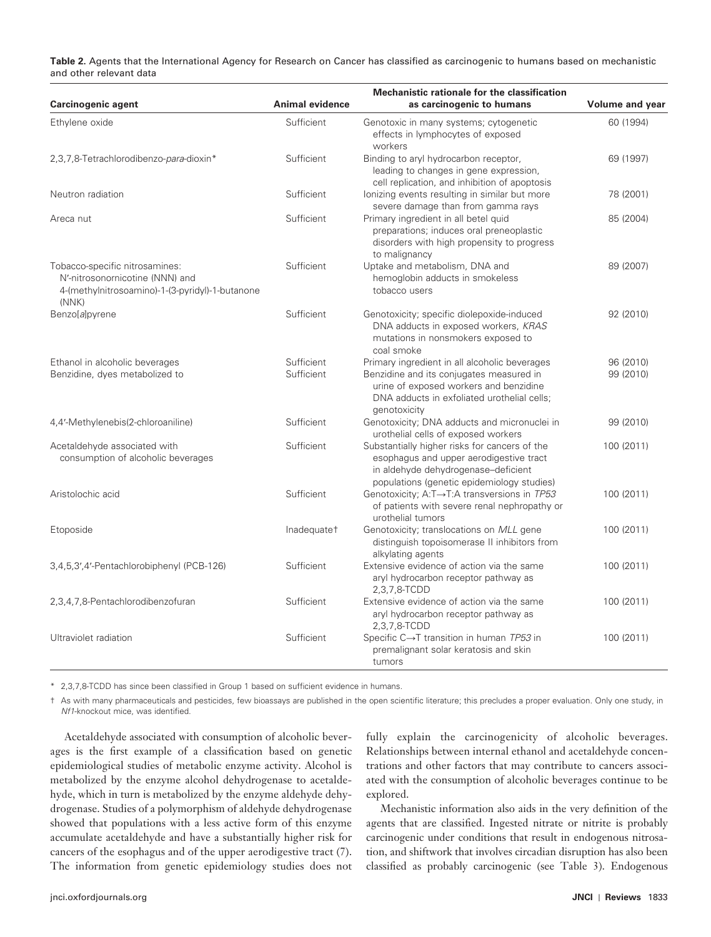**Table 2.** Agents that the International Agency for Research on Cancer has classified as carcinogenic to humans based on mechanistic and other relevant data

| Carcinogenic agent                                                                                                            | Animal evidence          | <b>Mechanistic rationale for the classification</b><br>as carcinogenic to humans                                                                                                                   | Volume and year        |
|-------------------------------------------------------------------------------------------------------------------------------|--------------------------|----------------------------------------------------------------------------------------------------------------------------------------------------------------------------------------------------|------------------------|
| Ethylene oxide                                                                                                                | Sufficient               | Genotoxic in many systems; cytogenetic<br>effects in lymphocytes of exposed<br>workers                                                                                                             | 60 (1994)              |
| 2,3,7,8-Tetrachlorodibenzo-para-dioxin*                                                                                       | Sufficient               | Binding to aryl hydrocarbon receptor,<br>leading to changes in gene expression,<br>cell replication, and inhibition of apoptosis                                                                   | 69 (1997)              |
| Neutron radiation                                                                                                             | Sufficient               | lonizing events resulting in similar but more<br>severe damage than from gamma rays                                                                                                                | 78 (2001)              |
| Areca nut                                                                                                                     | Sufficient               | Primary ingredient in all betel quid<br>preparations; induces oral preneoplastic<br>disorders with high propensity to progress<br>to malignancy                                                    | 85 (2004)              |
| Tobacco-specific nitrosamines:<br>N'-nitrosonornicotine (NNN) and<br>4-(methylnitrosoamino)-1-(3-pyridyl)-1-butanone<br>(NNK) | Sufficient               | Uptake and metabolism, DNA and<br>hemoglobin adducts in smokeless<br>tobacco users                                                                                                                 | 89 (2007)              |
| Benzo[a]pyrene                                                                                                                | Sufficient               | Genotoxicity; specific diolepoxide-induced<br>DNA adducts in exposed workers, KRAS<br>mutations in nonsmokers exposed to<br>coal smoke                                                             | 92 (2010)              |
| Ethanol in alcoholic beverages<br>Benzidine, dyes metabolized to                                                              | Sufficient<br>Sufficient | Primary ingredient in all alcoholic beverages<br>Benzidine and its conjugates measured in<br>urine of exposed workers and benzidine<br>DNA adducts in exfoliated urothelial cells;<br>genotoxicity | 96 (2010)<br>99 (2010) |
| 4,4'-Methylenebis(2-chloroaniline)                                                                                            | Sufficient               | Genotoxicity; DNA adducts and micronuclei in<br>urothelial cells of exposed workers                                                                                                                | 99 (2010)              |
| Acetaldehyde associated with<br>consumption of alcoholic beverages                                                            | Sufficient               | Substantially higher risks for cancers of the<br>esophagus and upper aerodigestive tract<br>in aldehyde dehydrogenase-deficient<br>populations (genetic epidemiology studies)                      | 100 (2011)             |
| Aristolochic acid                                                                                                             | Sufficient               | Genotoxicity; A:T→T:A transversions in TP53<br>of patients with severe renal nephropathy or<br>urothelial tumors                                                                                   | 100 (2011)             |
| Etoposide                                                                                                                     | Inadequatet              | Genotoxicity; translocations on MLL gene<br>distinguish topoisomerase II inhibitors from<br>alkylating agents                                                                                      | 100 (2011)             |
| 3,4,5,3',4'-Pentachlorobiphenyl (PCB-126)                                                                                     | Sufficient               | Extensive evidence of action via the same<br>aryl hydrocarbon receptor pathway as<br>2,3,7,8-TCDD                                                                                                  | 100 (2011)             |
| 2,3,4,7,8-Pentachlorodibenzofuran                                                                                             | Sufficient               | Extensive evidence of action via the same<br>aryl hydrocarbon receptor pathway as<br>2,3,7,8-TCDD                                                                                                  | 100 (2011)             |
| Ultraviolet radiation                                                                                                         | Sufficient               | Specific C→T transition in human TP53 in<br>premalignant solar keratosis and skin<br>tumors                                                                                                        | 100 (2011)             |

\* 2,3,7,8-TCDD has since been classified in Group 1 based on sufficient evidence in humans.

† As with many pharmaceuticals and pesticides, few bioassays are published in the open scientific literature; this precludes a proper evaluation. Only one study, in Nf1-knockout mice, was identified.

Acetaldehyde associated with consumption of alcoholic beverages is the first example of a classification based on genetic epidemiological studies of metabolic enzyme activity. Alcohol is metabolized by the enzyme alcohol dehydrogenase to acetaldehyde, which in turn is metabolized by the enzyme aldehyde dehydrogenase. Studies of a polymorphism of aldehyde dehydrogenase showed that populations with a less active form of this enzyme accumulate acetaldehyde and have a substantially higher risk for cancers of the esophagus and of the upper aerodigestive tract (7). The information from genetic epidemiology studies does not

fully explain the carcinogenicity of alcoholic beverages. Relationships between internal ethanol and acetaldehyde concentrations and other factors that may contribute to cancers associated with the consumption of alcoholic beverages continue to be explored.

Mechanistic information also aids in the very definition of the agents that are classified. Ingested nitrate or nitrite is probably carcinogenic under conditions that result in endogenous nitrosation, and shiftwork that involves circadian disruption has also been classified as probably carcinogenic (see Table 3). Endogenous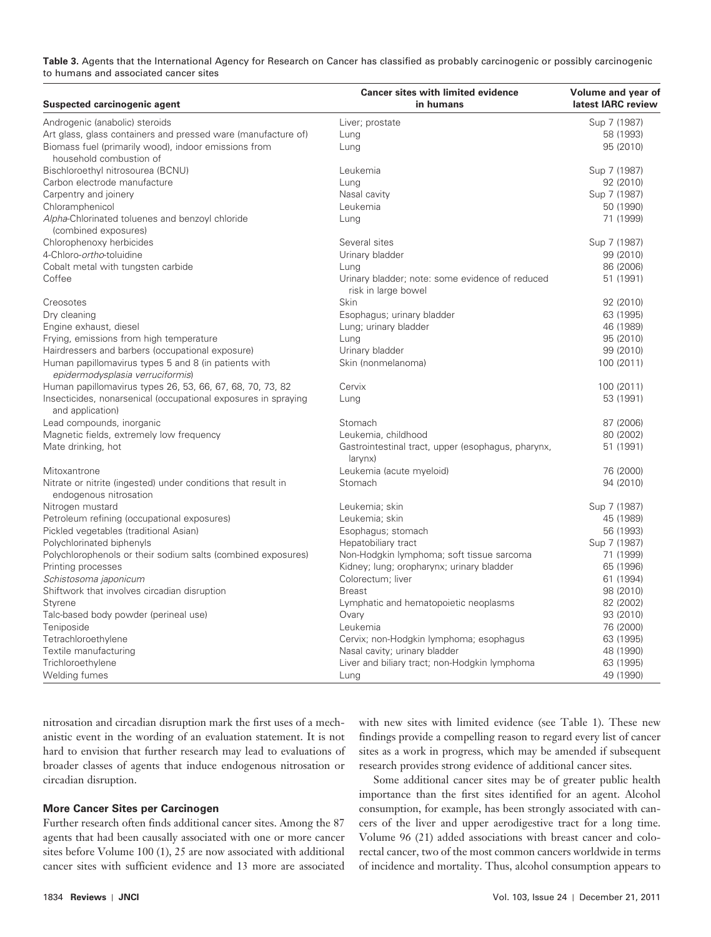**Table 3.** Agents that the International Agency for Research on Cancer has classified as probably carcinogenic or possibly carcinogenic to humans and associated cancer sites

| Suspected carcinogenic agent                                                             | <b>Cancer sites with limited evidence</b><br>in humans                 | Volume and year of<br>latest IARC review |
|------------------------------------------------------------------------------------------|------------------------------------------------------------------------|------------------------------------------|
| Androgenic (anabolic) steroids                                                           | Liver; prostate                                                        | Sup 7 (1987)                             |
| Art glass, glass containers and pressed ware (manufacture of)                            | Lung                                                                   | 58 (1993)                                |
| Biomass fuel (primarily wood), indoor emissions from<br>household combustion of          | Lung                                                                   | 95 (2010)                                |
| Bischloroethyl nitrosourea (BCNU)                                                        | Leukemia                                                               | Sup 7 (1987)                             |
| Carbon electrode manufacture                                                             | Lung                                                                   | 92 (2010)                                |
| Carpentry and joinery                                                                    | Nasal cavity                                                           | Sup 7 (1987)                             |
| Chloramphenicol                                                                          | Leukemia                                                               | 50 (1990)                                |
| Alpha-Chlorinated toluenes and benzoyl chloride<br>(combined exposures)                  | Lung                                                                   | 71 (1999)                                |
| Chlorophenoxy herbicides                                                                 | Several sites                                                          | Sup 7 (1987)                             |
| 4-Chloro-ortho-toluidine                                                                 | Urinary bladder                                                        | 99 (2010)                                |
| Cobalt metal with tungsten carbide                                                       | Lung                                                                   | 86 (2006)                                |
| Coffee                                                                                   | Urinary bladder; note: some evidence of reduced<br>risk in large bowel | 51 (1991)                                |
| Creosotes                                                                                | Skin                                                                   | 92 (2010)                                |
| Dry cleaning                                                                             | Esophagus; urinary bladder                                             | 63 (1995)                                |
| Engine exhaust, diesel                                                                   | Lung; urinary bladder                                                  | 46 (1989)                                |
| Frying, emissions from high temperature                                                  | Lung                                                                   | 95 (2010)                                |
| Hairdressers and barbers (occupational exposure)                                         | Urinary bladder                                                        | 99 (2010)                                |
| Human papillomavirus types 5 and 8 (in patients with<br>epidermodysplasia verruciformis) | Skin (nonmelanoma)                                                     | 100 (2011)                               |
| Human papillomavirus types 26, 53, 66, 67, 68, 70, 73, 82                                | Cervix                                                                 | 100 (2011)                               |
| Insecticides, nonarsenical (occupational exposures in spraying<br>and application)       | Lung                                                                   | 53 (1991)                                |
| Lead compounds, inorganic                                                                | Stomach                                                                | 87 (2006)                                |
| Magnetic fields, extremely low frequency                                                 | Leukemia, childhood                                                    | 80 (2002)                                |
| Mate drinking, hot                                                                       | Gastrointestinal tract, upper (esophagus, pharynx,<br>larynx)          | 51 (1991)                                |
| Mitoxantrone                                                                             | Leukemia (acute myeloid)                                               | 76 (2000)                                |
| Nitrate or nitrite (ingested) under conditions that result in<br>endogenous nitrosation  | Stomach                                                                | 94 (2010)                                |
| Nitrogen mustard                                                                         | Leukemia: skin                                                         | Sup 7 (1987)                             |
| Petroleum refining (occupational exposures)                                              | Leukemia; skin                                                         | 45 (1989)                                |
| Pickled vegetables (traditional Asian)                                                   | Esophagus; stomach                                                     | 56 (1993)                                |
| Polychlorinated biphenyls                                                                | Hepatobiliary tract                                                    | Sup 7 (1987)                             |
| Polychlorophenols or their sodium salts (combined exposures)                             | Non-Hodgkin lymphoma; soft tissue sarcoma                              | 71 (1999)                                |
| Printing processes                                                                       | Kidney; lung; oropharynx; urinary bladder                              | 65 (1996)                                |
| Schistosoma japonicum                                                                    | Colorectum; liver                                                      | 61 (1994)                                |
| Shiftwork that involves circadian disruption                                             | <b>Breast</b>                                                          | 98 (2010)                                |
| Styrene                                                                                  | Lymphatic and hematopoietic neoplasms                                  | 82 (2002)                                |
| Talc-based body powder (perineal use)                                                    | Ovary                                                                  | 93 (2010)                                |
| Teniposide                                                                               | Leukemia                                                               | 76 (2000)                                |
| Tetrachloroethylene                                                                      | Cervix; non-Hodgkin lymphoma; esophagus                                | 63 (1995)                                |
| Textile manufacturing                                                                    | Nasal cavity; urinary bladder                                          | 48 (1990)                                |
| Trichloroethylene                                                                        | Liver and biliary tract; non-Hodgkin lymphoma                          | 63 (1995)                                |
| Welding fumes                                                                            | Lung                                                                   | 49 (1990)                                |

nitrosation and circadian disruption mark the first uses of a mechanistic event in the wording of an evaluation statement. It is not hard to envision that further research may lead to evaluations of broader classes of agents that induce endogenous nitrosation or circadian disruption.

### **More Cancer Sites per Carcinogen**

Further research often finds additional cancer sites. Among the 87 agents that had been causally associated with one or more cancer sites before Volume 100 (1), 25 are now associated with additional cancer sites with sufficient evidence and 13 more are associated

with new sites with limited evidence (see Table 1). These new findings provide a compelling reason to regard every list of cancer sites as a work in progress, which may be amended if subsequent research provides strong evidence of additional cancer sites.

Some additional cancer sites may be of greater public health importance than the first sites identified for an agent. Alcohol consumption, for example, has been strongly associated with cancers of the liver and upper aerodigestive tract for a long time. Volume 96 (21) added associations with breast cancer and colorectal cancer, two of the most common cancers worldwide in terms of incidence and mortality. Thus, alcohol consumption appears to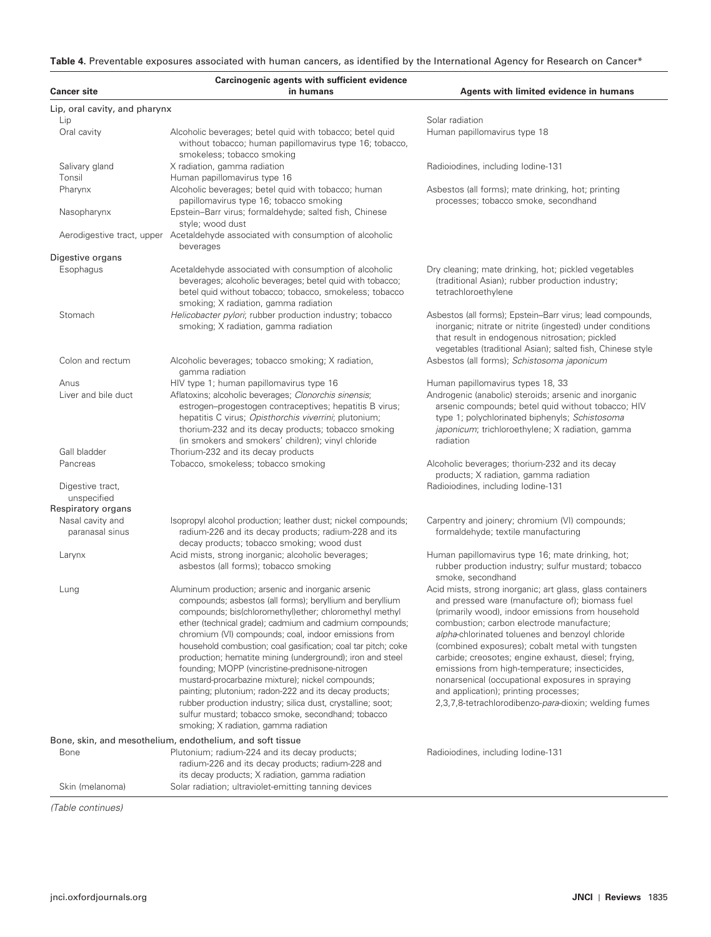Table 4. Preventable exposures associated with human cancers, as identified by the International Agency for Research on Cancer\*

|                                     | Carcinogenic agents with sufficient evidence                                                                                                                                                                                                                                                                                                                                                                                                                                                                                                                                                                                                                                                                                                                                                                          |                                                                                                                                                                                                                                                                                                                                                                                                                                                                                                                                                                                      |
|-------------------------------------|-----------------------------------------------------------------------------------------------------------------------------------------------------------------------------------------------------------------------------------------------------------------------------------------------------------------------------------------------------------------------------------------------------------------------------------------------------------------------------------------------------------------------------------------------------------------------------------------------------------------------------------------------------------------------------------------------------------------------------------------------------------------------------------------------------------------------|--------------------------------------------------------------------------------------------------------------------------------------------------------------------------------------------------------------------------------------------------------------------------------------------------------------------------------------------------------------------------------------------------------------------------------------------------------------------------------------------------------------------------------------------------------------------------------------|
| <b>Cancer site</b>                  | in humans                                                                                                                                                                                                                                                                                                                                                                                                                                                                                                                                                                                                                                                                                                                                                                                                             | Agents with limited evidence in humans                                                                                                                                                                                                                                                                                                                                                                                                                                                                                                                                               |
| Lip, oral cavity, and pharynx       |                                                                                                                                                                                                                                                                                                                                                                                                                                                                                                                                                                                                                                                                                                                                                                                                                       |                                                                                                                                                                                                                                                                                                                                                                                                                                                                                                                                                                                      |
| Lip                                 |                                                                                                                                                                                                                                                                                                                                                                                                                                                                                                                                                                                                                                                                                                                                                                                                                       | Solar radiation                                                                                                                                                                                                                                                                                                                                                                                                                                                                                                                                                                      |
| Oral cavity                         | Alcoholic beverages; betel quid with tobacco; betel quid<br>without tobacco; human papillomavirus type 16; tobacco,<br>smokeless; tobacco smoking                                                                                                                                                                                                                                                                                                                                                                                                                                                                                                                                                                                                                                                                     | Human papillomavirus type 18                                                                                                                                                                                                                                                                                                                                                                                                                                                                                                                                                         |
| Salivary gland<br>Tonsil            | X radiation, gamma radiation<br>Human papillomavirus type 16                                                                                                                                                                                                                                                                                                                                                                                                                                                                                                                                                                                                                                                                                                                                                          | Radioiodines, including lodine-131                                                                                                                                                                                                                                                                                                                                                                                                                                                                                                                                                   |
| Pharynx                             | Alcoholic beverages; betel quid with tobacco; human<br>papillomavirus type 16; tobacco smoking                                                                                                                                                                                                                                                                                                                                                                                                                                                                                                                                                                                                                                                                                                                        | Asbestos (all forms); mate drinking, hot; printing<br>processes; tobacco smoke, secondhand                                                                                                                                                                                                                                                                                                                                                                                                                                                                                           |
| Nasopharynx                         | Epstein-Barr virus; formaldehyde; salted fish, Chinese<br>style; wood dust                                                                                                                                                                                                                                                                                                                                                                                                                                                                                                                                                                                                                                                                                                                                            |                                                                                                                                                                                                                                                                                                                                                                                                                                                                                                                                                                                      |
|                                     | Aerodigestive tract, upper Acetaldehyde associated with consumption of alcoholic<br>beverages                                                                                                                                                                                                                                                                                                                                                                                                                                                                                                                                                                                                                                                                                                                         |                                                                                                                                                                                                                                                                                                                                                                                                                                                                                                                                                                                      |
| Digestive organs                    |                                                                                                                                                                                                                                                                                                                                                                                                                                                                                                                                                                                                                                                                                                                                                                                                                       |                                                                                                                                                                                                                                                                                                                                                                                                                                                                                                                                                                                      |
| Esophagus                           | Acetaldehyde associated with consumption of alcoholic<br>beverages; alcoholic beverages; betel quid with tobacco;<br>betel quid without tobacco; tobacco, smokeless; tobacco<br>smoking; X radiation, gamma radiation                                                                                                                                                                                                                                                                                                                                                                                                                                                                                                                                                                                                 | Dry cleaning; mate drinking, hot; pickled vegetables<br>(traditional Asian); rubber production industry;<br>tetrachloroethylene                                                                                                                                                                                                                                                                                                                                                                                                                                                      |
| Stomach                             | Helicobacter pylori; rubber production industry; tobacco<br>smoking; X radiation, gamma radiation                                                                                                                                                                                                                                                                                                                                                                                                                                                                                                                                                                                                                                                                                                                     | Asbestos (all forms); Epstein-Barr virus; lead compounds,<br>inorganic; nitrate or nitrite (ingested) under conditions<br>that result in endogenous nitrosation; pickled<br>vegetables (traditional Asian); salted fish, Chinese style                                                                                                                                                                                                                                                                                                                                               |
| Colon and rectum                    | Alcoholic beverages; tobacco smoking; X radiation,<br>gamma radiation                                                                                                                                                                                                                                                                                                                                                                                                                                                                                                                                                                                                                                                                                                                                                 | Asbestos (all forms); Schistosoma japonicum                                                                                                                                                                                                                                                                                                                                                                                                                                                                                                                                          |
| Anus                                | HIV type 1; human papillomavirus type 16                                                                                                                                                                                                                                                                                                                                                                                                                                                                                                                                                                                                                                                                                                                                                                              | Human papillomavirus types 18, 33                                                                                                                                                                                                                                                                                                                                                                                                                                                                                                                                                    |
| Liver and bile duct                 | Aflatoxins; alcoholic beverages; Clonorchis sinensis;<br>estrogen-progestogen contraceptives; hepatitis B virus;<br>hepatitis C virus; Opisthorchis viverrini; plutonium;<br>thorium-232 and its decay products; tobacco smoking<br>(in smokers and smokers' children); vinyl chloride                                                                                                                                                                                                                                                                                                                                                                                                                                                                                                                                | Androgenic (anabolic) steroids; arsenic and inorganic<br>arsenic compounds; betel quid without tobacco; HIV<br>type 1; polychlorinated biphenyls; Schistosoma<br>japonicum; trichloroethylene; X radiation, gamma<br>radiation                                                                                                                                                                                                                                                                                                                                                       |
| Gall bladder                        | Thorium-232 and its decay products                                                                                                                                                                                                                                                                                                                                                                                                                                                                                                                                                                                                                                                                                                                                                                                    |                                                                                                                                                                                                                                                                                                                                                                                                                                                                                                                                                                                      |
| Pancreas<br>Digestive tract,        | Tobacco, smokeless; tobacco smoking                                                                                                                                                                                                                                                                                                                                                                                                                                                                                                                                                                                                                                                                                                                                                                                   | Alcoholic beverages; thorium-232 and its decay<br>products; X radiation, gamma radiation<br>Radioiodines, including lodine-131                                                                                                                                                                                                                                                                                                                                                                                                                                                       |
| unspecified<br>Respiratory organs   |                                                                                                                                                                                                                                                                                                                                                                                                                                                                                                                                                                                                                                                                                                                                                                                                                       |                                                                                                                                                                                                                                                                                                                                                                                                                                                                                                                                                                                      |
| Nasal cavity and<br>paranasal sinus | Isopropyl alcohol production; leather dust; nickel compounds;<br>radium-226 and its decay products; radium-228 and its<br>decay products; tobacco smoking; wood dust                                                                                                                                                                                                                                                                                                                                                                                                                                                                                                                                                                                                                                                  | Carpentry and joinery; chromium (VI) compounds;<br>formaldehyde; textile manufacturing                                                                                                                                                                                                                                                                                                                                                                                                                                                                                               |
| Larynx                              | Acid mists, strong inorganic; alcoholic beverages;<br>asbestos (all forms); tobacco smoking                                                                                                                                                                                                                                                                                                                                                                                                                                                                                                                                                                                                                                                                                                                           | Human papillomavirus type 16; mate drinking, hot;<br>rubber production industry; sulfur mustard; tobacco<br>smoke, secondhand                                                                                                                                                                                                                                                                                                                                                                                                                                                        |
| Lung                                | Aluminum production; arsenic and inorganic arsenic<br>compounds; asbestos (all forms); beryllium and beryllium<br>compounds; bis(chloromethyl)ether; chloromethyl methyl<br>ether (technical grade); cadmium and cadmium compounds;<br>chromium (VI) compounds; coal, indoor emissions from<br>household combustion; coal gasification; coal tar pitch; coke<br>production; hematite mining (underground); iron and steel<br>founding; MOPP (vincristine-prednisone-nitrogen<br>mustard-procarbazine mixture); nickel compounds;<br>painting; plutonium; radon-222 and its decay products;<br>rubber production industry; silica dust, crystalline; soot;<br>sulfur mustard; tobacco smoke, secondhand; tobacco<br>smoking; X radiation, gamma radiation<br>Bone, skin, and mesothelium, endothelium, and soft tissue | Acid mists, strong inorganic; art glass, glass containers<br>and pressed ware (manufacture of); biomass fuel<br>(primarily wood), indoor emissions from household<br>combustion; carbon electrode manufacture;<br>alpha-chlorinated toluenes and benzoyl chloride<br>(combined exposures); cobalt metal with tungsten<br>carbide; creosotes; engine exhaust, diesel; frying,<br>emissions from high-temperature; insecticides,<br>nonarsenical (occupational exposures in spraying<br>and application); printing processes;<br>2,3,7,8-tetrachlorodibenzo-para-dioxin; welding fumes |
| <b>Bone</b>                         | Plutonium; radium-224 and its decay products;<br>radium-226 and its decay products; radium-228 and                                                                                                                                                                                                                                                                                                                                                                                                                                                                                                                                                                                                                                                                                                                    | Radioiodines, including lodine-131                                                                                                                                                                                                                                                                                                                                                                                                                                                                                                                                                   |
| Skin (melanoma)                     | its decay products; X radiation, gamma radiation<br>Solar radiation; ultraviolet-emitting tanning devices                                                                                                                                                                                                                                                                                                                                                                                                                                                                                                                                                                                                                                                                                                             |                                                                                                                                                                                                                                                                                                                                                                                                                                                                                                                                                                                      |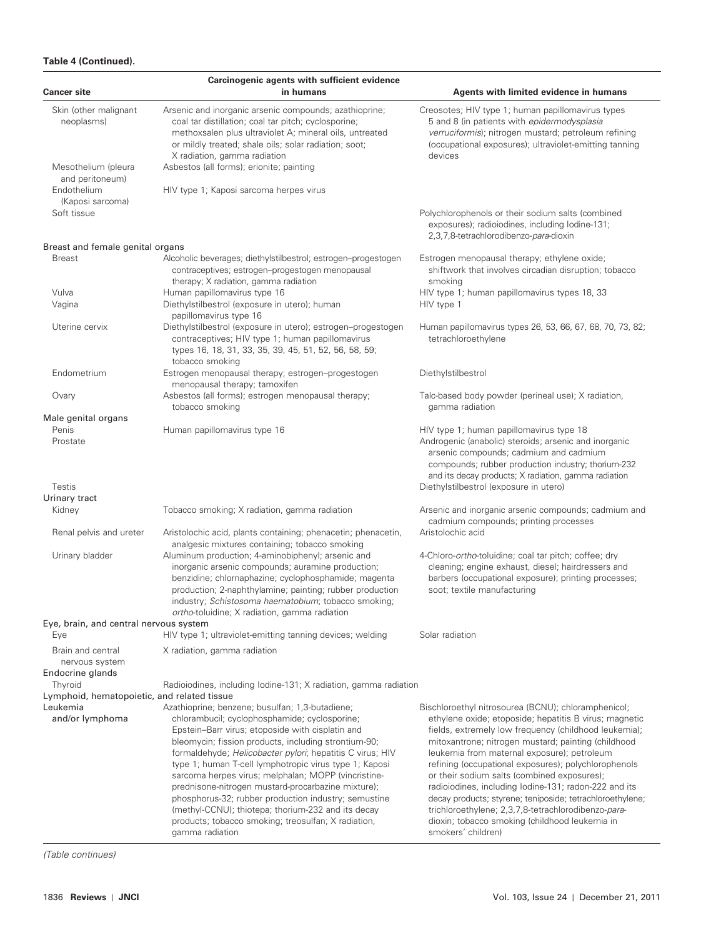# **Table 4 (Continued).**

| <b>Cancer site</b>                                      | Carcinogenic agents with sufficient evidence<br>in humans                                                                                                                                                                                                                                                                                                                                                                                                                                                                                                                                                                                | Agents with limited evidence in humans                                                                                                                                                                                                                                                                                                                                                                                                                                                                                                                                                                                                   |
|---------------------------------------------------------|------------------------------------------------------------------------------------------------------------------------------------------------------------------------------------------------------------------------------------------------------------------------------------------------------------------------------------------------------------------------------------------------------------------------------------------------------------------------------------------------------------------------------------------------------------------------------------------------------------------------------------------|------------------------------------------------------------------------------------------------------------------------------------------------------------------------------------------------------------------------------------------------------------------------------------------------------------------------------------------------------------------------------------------------------------------------------------------------------------------------------------------------------------------------------------------------------------------------------------------------------------------------------------------|
|                                                         |                                                                                                                                                                                                                                                                                                                                                                                                                                                                                                                                                                                                                                          |                                                                                                                                                                                                                                                                                                                                                                                                                                                                                                                                                                                                                                          |
| Skin (other malignant<br>neoplasms)                     | Arsenic and inorganic arsenic compounds; azathioprine;<br>coal tar distillation; coal tar pitch; cyclosporine;<br>methoxsalen plus ultraviolet A; mineral oils, untreated<br>or mildly treated; shale oils; solar radiation; soot;<br>X radiation, gamma radiation                                                                                                                                                                                                                                                                                                                                                                       | Creosotes; HIV type 1; human papillomavirus types<br>5 and 8 (in patients with epidermodysplasia<br>verruciformis); nitrogen mustard; petroleum refining<br>(occupational exposures); ultraviolet-emitting tanning<br>devices                                                                                                                                                                                                                                                                                                                                                                                                            |
| Mesothelium (pleura<br>and peritoneum)                  | Asbestos (all forms); erionite; painting                                                                                                                                                                                                                                                                                                                                                                                                                                                                                                                                                                                                 |                                                                                                                                                                                                                                                                                                                                                                                                                                                                                                                                                                                                                                          |
| Endothelium<br>(Kaposi sarcoma)                         | HIV type 1; Kaposi sarcoma herpes virus                                                                                                                                                                                                                                                                                                                                                                                                                                                                                                                                                                                                  |                                                                                                                                                                                                                                                                                                                                                                                                                                                                                                                                                                                                                                          |
| Soft tissue                                             |                                                                                                                                                                                                                                                                                                                                                                                                                                                                                                                                                                                                                                          | Polychlorophenols or their sodium salts (combined<br>exposures); radioiodines, including lodine-131;<br>2,3,7,8-tetrachlorodibenzo-para-dioxin                                                                                                                                                                                                                                                                                                                                                                                                                                                                                           |
| Breast and female genital organs                        |                                                                                                                                                                                                                                                                                                                                                                                                                                                                                                                                                                                                                                          |                                                                                                                                                                                                                                                                                                                                                                                                                                                                                                                                                                                                                                          |
| <b>Breast</b>                                           | Alcoholic beverages; diethylstilbestrol; estrogen-progestogen<br>contraceptives; estrogen-progestogen menopausal<br>therapy; X radiation, gamma radiation                                                                                                                                                                                                                                                                                                                                                                                                                                                                                | Estrogen menopausal therapy; ethylene oxide;<br>shiftwork that involves circadian disruption; tobacco<br>smoking                                                                                                                                                                                                                                                                                                                                                                                                                                                                                                                         |
| Vulva<br>Vagina                                         | Human papillomavirus type 16<br>Diethylstilbestrol (exposure in utero); human<br>papillomavirus type 16                                                                                                                                                                                                                                                                                                                                                                                                                                                                                                                                  | HIV type 1; human papillomavirus types 18, 33<br>HIV type 1                                                                                                                                                                                                                                                                                                                                                                                                                                                                                                                                                                              |
| Uterine cervix                                          | Diethylstilbestrol (exposure in utero); estrogen-progestogen<br>contraceptives; HIV type 1; human papillomavirus<br>types 16, 18, 31, 33, 35, 39, 45, 51, 52, 56, 58, 59;<br>tobacco smoking                                                                                                                                                                                                                                                                                                                                                                                                                                             | Human papillomavirus types 26, 53, 66, 67, 68, 70, 73, 82;<br>tetrachloroethylene                                                                                                                                                                                                                                                                                                                                                                                                                                                                                                                                                        |
| Endometrium                                             | Estrogen menopausal therapy; estrogen-progestogen<br>menopausal therapy; tamoxifen                                                                                                                                                                                                                                                                                                                                                                                                                                                                                                                                                       | Diethylstilbestrol                                                                                                                                                                                                                                                                                                                                                                                                                                                                                                                                                                                                                       |
| Ovary                                                   | Asbestos (all forms); estrogen menopausal therapy;<br>tobacco smoking                                                                                                                                                                                                                                                                                                                                                                                                                                                                                                                                                                    | Talc-based body powder (perineal use); X radiation,<br>gamma radiation                                                                                                                                                                                                                                                                                                                                                                                                                                                                                                                                                                   |
| Male genital organs                                     |                                                                                                                                                                                                                                                                                                                                                                                                                                                                                                                                                                                                                                          |                                                                                                                                                                                                                                                                                                                                                                                                                                                                                                                                                                                                                                          |
| Penis<br>Prostate                                       | Human papillomavirus type 16                                                                                                                                                                                                                                                                                                                                                                                                                                                                                                                                                                                                             | HIV type 1; human papillomavirus type 18<br>Androgenic (anabolic) steroids; arsenic and inorganic<br>arsenic compounds; cadmium and cadmium<br>compounds; rubber production industry; thorium-232<br>and its decay products; X radiation, gamma radiation                                                                                                                                                                                                                                                                                                                                                                                |
| Testis<br>Urinary tract                                 |                                                                                                                                                                                                                                                                                                                                                                                                                                                                                                                                                                                                                                          | Diethylstilbestrol (exposure in utero)                                                                                                                                                                                                                                                                                                                                                                                                                                                                                                                                                                                                   |
| Kidney                                                  | Tobacco smoking; X radiation, gamma radiation                                                                                                                                                                                                                                                                                                                                                                                                                                                                                                                                                                                            | Arsenic and inorganic arsenic compounds; cadmium and<br>cadmium compounds; printing processes                                                                                                                                                                                                                                                                                                                                                                                                                                                                                                                                            |
| Renal pelvis and ureter                                 | Aristolochic acid, plants containing; phenacetin; phenacetin,<br>analgesic mixtures containing; tobacco smoking                                                                                                                                                                                                                                                                                                                                                                                                                                                                                                                          | Aristolochic acid                                                                                                                                                                                                                                                                                                                                                                                                                                                                                                                                                                                                                        |
| Urinary bladder                                         | Aluminum production; 4-aminobiphenyl; arsenic and<br>inorganic arsenic compounds; auramine production;<br>benzidine; chlornaphazine; cyclophosphamide; magenta<br>production; 2-naphthylamine; painting; rubber production<br>industry; Schistosoma haematobium; tobacco smoking;<br>ortho-toluidine; X radiation, gamma radiation                                                                                                                                                                                                                                                                                                       | 4-Chloro-ortho-toluidine; coal tar pitch; coffee; dry<br>cleaning; engine exhaust, diesel; hairdressers and<br>barbers (occupational exposure); printing processes;<br>soot; textile manufacturing                                                                                                                                                                                                                                                                                                                                                                                                                                       |
| Eye, brain, and central nervous system<br>Eye           | HIV type 1; ultraviolet-emitting tanning devices; welding                                                                                                                                                                                                                                                                                                                                                                                                                                                                                                                                                                                | Solar radiation                                                                                                                                                                                                                                                                                                                                                                                                                                                                                                                                                                                                                          |
| Brain and central<br>nervous system<br>Endocrine glands | X radiation, gamma radiation                                                                                                                                                                                                                                                                                                                                                                                                                                                                                                                                                                                                             |                                                                                                                                                                                                                                                                                                                                                                                                                                                                                                                                                                                                                                          |
| Thyroid                                                 | Radioiodines, including lodine-131; X radiation, gamma radiation                                                                                                                                                                                                                                                                                                                                                                                                                                                                                                                                                                         |                                                                                                                                                                                                                                                                                                                                                                                                                                                                                                                                                                                                                                          |
| Lymphoid, hematopoietic, and related tissue             |                                                                                                                                                                                                                                                                                                                                                                                                                                                                                                                                                                                                                                          |                                                                                                                                                                                                                                                                                                                                                                                                                                                                                                                                                                                                                                          |
| Leukemia<br>and/or lymphoma                             | Azathioprine; benzene; busulfan; 1,3-butadiene;<br>chlorambucil; cyclophosphamide; cyclosporine;<br>Epstein-Barr virus; etoposide with cisplatin and<br>bleomycin; fission products, including strontium-90;<br>formaldehyde; Helicobacter pylori; hepatitis C virus; HIV<br>type 1; human T-cell lymphotropic virus type 1; Kaposi<br>sarcoma herpes virus; melphalan; MOPP (vincristine-<br>prednisone-nitrogen mustard-procarbazine mixture);<br>phosphorus-32; rubber production industry; semustine<br>(methyl-CCNU); thiotepa; thorium-232 and its decay<br>products; tobacco smoking; treosulfan; X radiation,<br>gamma radiation | Bischloroethyl nitrosourea (BCNU); chloramphenicol;<br>ethylene oxide; etoposide; hepatitis B virus; magnetic<br>fields, extremely low frequency (childhood leukemia);<br>mitoxantrone; nitrogen mustard; painting (childhood<br>leukemia from maternal exposure); petroleum<br>refining (occupational exposures); polychlorophenols<br>or their sodium salts (combined exposures);<br>radioiodines, including lodine-131; radon-222 and its<br>decay products; styrene; teniposide; tetrachloroethylene;<br>trichloroethylene; 2,3,7,8-tetrachlorodibenzo-para-<br>dioxin; tobacco smoking (childhood leukemia in<br>smokers' children) |

(Table continues)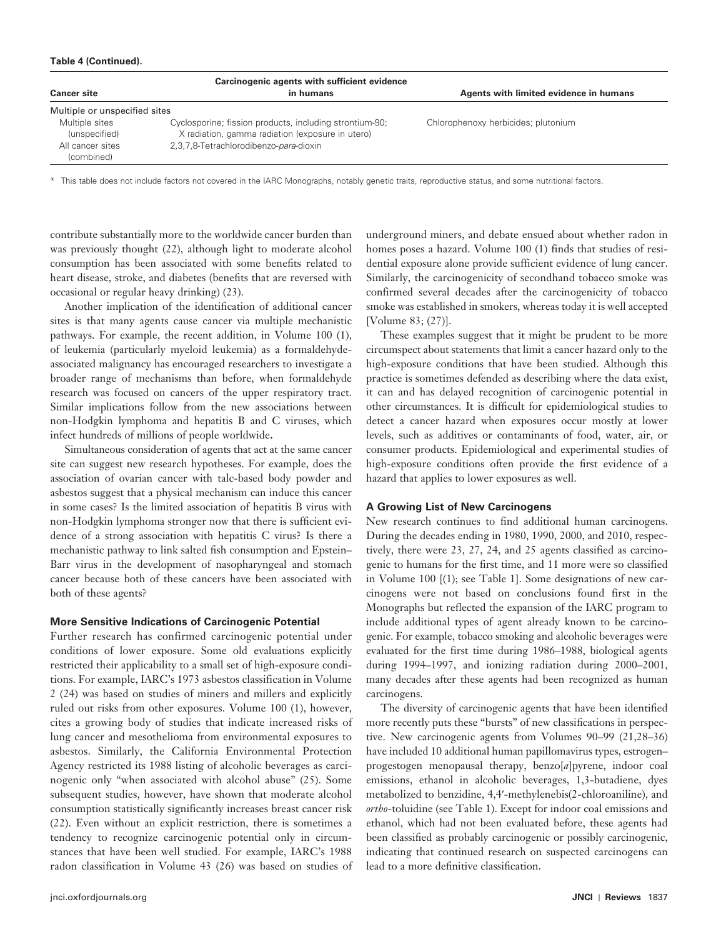#### **Table 4 (Continued).**

| Carcinogenic agents with sufficient evidence |                                                         |                                        |  |
|----------------------------------------------|---------------------------------------------------------|----------------------------------------|--|
| <b>Cancer site</b>                           | in humans                                               | Agents with limited evidence in humans |  |
| Multiple or unspecified sites                |                                                         |                                        |  |
| Multiple sites                               | Cyclosporine; fission products, including strontium-90; | Chlorophenoxy herbicides; plutonium    |  |
| (unspecified)                                | X radiation, gamma radiation (exposure in utero)        |                                        |  |
| All cancer sites                             | 2,3,7,8-Tetrachlorodibenzo-para-dioxin                  |                                        |  |
| (combined)                                   |                                                         |                                        |  |

\* This table does not include factors not covered in the IARC Monographs, notably genetic traits, reproductive status, and some nutritional factors.

contribute substantially more to the worldwide cancer burden than was previously thought (22), although light to moderate alcohol consumption has been associated with some benefits related to heart disease, stroke, and diabetes (benefits that are reversed with occasional or regular heavy drinking) (23).

Another implication of the identification of additional cancer sites is that many agents cause cancer via multiple mechanistic pathways. For example, the recent addition, in Volume 100 (1), of leukemia (particularly myeloid leukemia) as a formaldehydeassociated malignancy has encouraged researchers to investigate a broader range of mechanisms than before, when formaldehyde research was focused on cancers of the upper respiratory tract. Similar implications follow from the new associations between non-Hodgkin lymphoma and hepatitis B and C viruses, which infect hundreds of millions of people worldwide **.**

Simultaneous consideration of agents that act at the same cancer site can suggest new research hypotheses. For example, does the association of ovarian cancer with talc-based body powder and asbestos suggest that a physical mechanism can induce this cancer in some cases? Is the limited association of hepatitis B virus with non-Hodgkin lymphoma stronger now that there is sufficient evidence of a strong association with hepatitis C virus? Is there a mechanistic pathway to link salted fish consumption and Epstein-Barr virus in the development of nasopharyngeal and stomach cancer because both of these cancers have been associated with both of these agents?

### **More Sensitive Indications of Carcinogenic Potential**

Further research has confirmed carcinogenic potential under conditions of lower exposure. Some old evaluations explicitly restricted their applicability to a small set of high-exposure conditions. For example, IARC's 1973 asbestos classification in Volume 2 (24) was based on studies of miners and millers and explicitly ruled out risks from other exposures. Volume 100 (1), however, cites a growing body of studies that indicate increased risks of lung cancer and mesothelioma from environmental exposures to asbestos. Similarly, the California Environmental Protection Agency restricted its 1988 listing of alcoholic beverages as carcinogenic only "when associated with alcohol abuse" (25). Some subsequent studies, however, have shown that moderate alcohol consumption statistically significantly increases breast cancer risk (22). Even without an explicit restriction, there is sometimes a tendency to recognize carcinogenic potential only in circumstances that have been well studied. For example, IARC's 1988 radon classification in Volume 43 (26) was based on studies of

underground miners, and debate ensued about whether radon in homes poses a hazard. Volume 100 (1) finds that studies of residential exposure alone provide sufficient evidence of lung cancer. Similarly, the carcinogenicity of secondhand tobacco smoke was confirmed several decades after the carcinogenicity of tobacco smoke was established in smokers, whereas today it is well accepted [ Volume 83; (27 )].

These examples suggest that it might be prudent to be more circumspect about statements that limit a cancer hazard only to the high-exposure conditions that have been studied. Although this practice is sometimes defended as describing where the data exist, it can and has delayed recognition of carcinogenic potential in other circumstances. It is difficult for epidemiological studies to detect a cancer hazard when exposures occur mostly at lower levels, such as additives or contaminants of food, water, air, or consumer products. Epidemiological and experimental studies of high-exposure conditions often provide the first evidence of a hazard that applies to lower exposures as well.

#### **A Growing List of New Carcinogens**

New research continues to find additional human carcinogens. During the decades ending in 1980, 1990, 2000, and 2010, respectively, there were 23, 27, 24, and 25 agents classified as carcinogenic to humans for the first time, and 11 more were so classified in Volume 100  $[(1)]$ ; see Table 1]. Some designations of new carcinogens were not based on conclusions found first in the Monographs but reflected the expansion of the IARC program to include additional types of agent already known to be carcinogenic. For example, tobacco smoking and alcoholic beverages were evaluated for the first time during 1986–1988, biological agents during 1994–1997, and ionizing radiation during 2000–2001, many decades after these agents had been recognized as human carcinogens.

The diversity of carcinogenic agents that have been identified more recently puts these "bursts" of new classifications in perspective. New carcinogenic agents from Volumes  $90-99$   $(21,28-36)$ have included 10 additional human papillomavirus types, estrogenprogestogen menopausal therapy, benzo[a]pyrene, indoor coal emissions, ethanol in alcoholic beverages, 1,3-butadiene, dyes metabolized to benzidine, 4,4'-methylenebis(2-chloroaniline), and *ortho*-toluidine (see Table 1). Except for indoor coal emissions and ethanol, which had not been evaluated before, these agents had been classified as probably carcinogenic or possibly carcinogenic, indicating that continued research on suspected carcinogens can lead to a more definitive classification.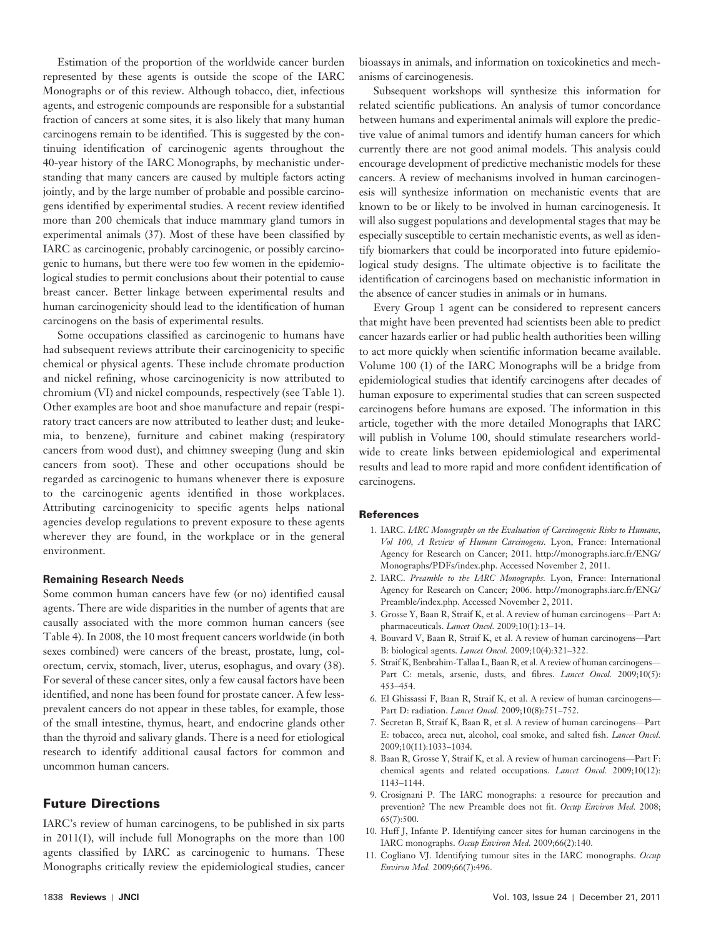Estimation of the proportion of the worldwide cancer burden represented by these agents is outside the scope of the IARC Monographs or of this review. Although tobacco, diet, infectious agents, and estrogenic compounds are responsible for a substantial fraction of cancers at some sites, it is also likely that many human carcinogens remain to be identified. This is suggested by the continuing identification of carcinogenic agents throughout the 40-year history of the IARC Monographs, by mechanistic understanding that many cancers are caused by multiple factors acting jointly, and by the large number of probable and possible carcinogens identified by experimental studies. A recent review identified more than 200 chemicals that induce mammary gland tumors in experimental animals (37). Most of these have been classified by IARC as carcinogenic, probably carcinogenic, or possibly carcinogenic to humans, but there were too few women in the epidemiological studies to permit conclusions about their potential to cause breast cancer. Better linkage between experimental results and human carcinogenicity should lead to the identification of human carcinogens on the basis of experimental results.

Some occupations classified as carcinogenic to humans have had subsequent reviews attribute their carcinogenicity to specific chemical or physical agents. These include chromate production and nickel refining, whose carcinogenicity is now attributed to chromium (VI) and nickel compounds, respectively (see Table 1). Other examples are boot and shoe manufacture and repair (respiratory tract cancers are now attributed to leather dust; and leukemia, to benzene), furniture and cabinet making (respiratory cancers from wood dust), and chimney sweeping (lung and skin cancers from soot). These and other occupations should be regarded as carcinogenic to humans whenever there is exposure to the carcinogenic agents identified in those workplaces. Attributing carcinogenicity to specific agents helps national agencies develop regulations to prevent exposure to these agents wherever they are found, in the workplace or in the general environment.

#### **Remaining Research Needs**

Some common human cancers have few (or no) identified causal agents. There are wide disparities in the number of agents that are causally associated with the more common human cancers (see Table 4). In 2008, the 10 most frequent cancers worldwide (in both sexes combined) were cancers of the breast, prostate, lung, colorectum, cervix, stomach, liver, uterus, esophagus, and ovary (38). For several of these cancer sites, only a few causal factors have been identified, and none has been found for prostate cancer. A few lessprevalent cancers do not appear in these tables, for example, those of the small intestine, thymus, heart, and endocrine glands other than the thyroid and salivary glands. There is a need for etiological research to identify additional causal factors for common and uncommon human cancers.

### **Future Directions**

IARC's review of human carcinogens, to be published in six parts in  $2011(1)$ , will include full Monographs on the more than  $100$ agents classified by IARC as carcinogenic to humans. These Monographs critically review the epidemiological studies, cancer

bioassays in animals, and information on toxicokinetics and mechanisms of carcinogenesis.

Subsequent workshops will synthesize this information for related scientific publications. An analysis of tumor concordance between humans and experimental animals will explore the predictive value of animal tumors and identify human cancers for which currently there are not good animal models. This analysis could encourage development of predictive mechanistic models for these cancers. A review of mechanisms involved in human carcinogenesis will synthesize information on mechanistic events that are known to be or likely to be involved in human carcinogenesis. It will also suggest populations and developmental stages that may be especially susceptible to certain mechanistic events, as well as identify biomarkers that could be incorporated into future epidemiological study designs. The ultimate objective is to facilitate the identification of carcinogens based on mechanistic information in the absence of cancer studies in animals or in humans.

Every Group 1 agent can be considered to represent cancers that might have been prevented had scientists been able to predict cancer hazards earlier or had public health authorities been willing to act more quickly when scientific information became available. Volume 100 (1) of the IARC Monographs will be a bridge from epidemiological studies that identify carcinogens after decades of human exposure to experimental studies that can screen suspected carcinogens before humans are exposed. The information in this article, together with the more detailed Monographs that IARC will publish in Volume 100, should stimulate researchers worldwide to create links between epidemiological and experimental results and lead to more rapid and more confident identification of carcinogens.

#### **References**

- 1. IARC . *IARC Monographs on the Evaluation of Carcinogenic Risks to Humans,*  Vol 100, A Review of Human Carcinogens. Lyon, France: International Agency for Research on Cancer; 2011. http://monographs.iarc.fr/ENG/ Monographs/PDFs/index.php. Accessed November 2, 2011.
- 2. IARC. Preamble to the IARC Monographs. Lyon, France: International Agency for Research on Cancer; 2006. http://monographs.iarc.fr/ENG/ Preamble/index.php. Accessed November 2, 2011.
- 3. Grosse Y, Baan R, Straif K, et al. A review of human carcinogens-Part A: pharmaceuticals. *Lancet Oncol*. 2009;10(1):13-14.
- 4. Bouvard V, Baan R, Straif K, et al. A review of human carcinogens-Part B: biological agents. *Lancet Oncol.* 2009;10(4):321-322.
- 5. Straif K, Benbrahim-Tallaa L, Baan R, et al. A review of human carcinogens-Part C: metals, arsenic, dusts, and fibres. *Lancet Oncol.* 2009;10(5): 453-454.
- 6. El Ghissassi F, Baan R, Straif K, et al. A review of human carcinogens-Part D: radiation. *Lancet Oncol.* 2009;10(8):751-752.
- 7. Secretan B, Straif K, Baan R, et al. A review of human carcinogens--- Part E: tobacco, areca nut, alcohol, coal smoke, and salted fish. *Lancet Oncol*. 2009;10(11):1033-1034.
- 8. Baan R, Grosse Y, Straif K, et al. A review of human carcinogens-Part F: chemical agents and related occupations. *Lancet Oncol.* 2009;10(12): 1143-1144.
- 9. Crosignani P. The IARC monographs: a resource for precaution and prevention? The new Preamble does not fit. Occup Environ Med. 2008;  $65(7)$ : 500.
- 10. Huff J, Infante P. Identifying cancer sites for human carcinogens in the IARC monographs. *Occup Environ Med.* 2009;66(2):140.
- 11. Cogliano VJ. Identifying tumour sites in the IARC monographs. Occup Environ Med. 2009;66(7):496.